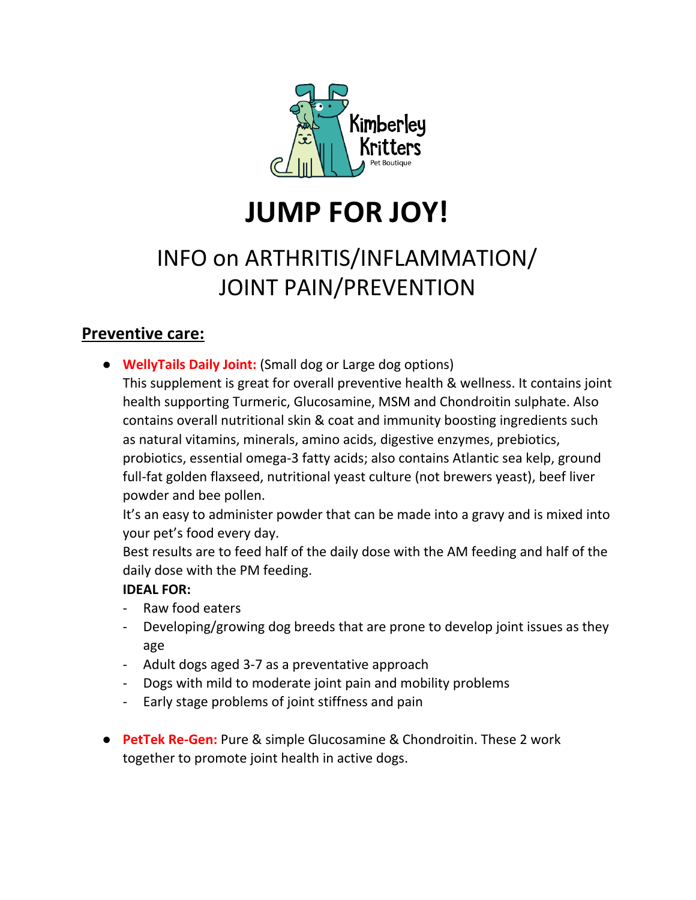

# **JUMP FOR JOY!**

# INFO on ARTHRITIS/INFLAMMATION/ JOINT PAIN/PREVENTION

## **Preventive care:**

- **WellyTails Daily Joint:** (Small dog or Large dog options)
	- This supplement is great for overall preventive health & wellness. It contains joint health supporting Turmeric, Glucosamine, MSM and Chondroitin sulphate. Also contains overall nutritional skin & coat and immunity boosting ingredients such as natural vitamins, minerals, amino acids, digestive enzymes, prebiotics, probiotics, essential omega-3 fatty acids; also contains Atlantic sea kelp, ground full-fat golden flaxseed, nutritional yeast culture (not brewers yeast), beef liver powder and bee pollen.

It's an easy to administer powder that can be made into a gravy and is mixed into your pet's food every day.

Best results are to feed half of the daily dose with the AM feeding and half of the daily dose with the PM feeding.

#### **IDEAL FOR:**

- Raw food eaters
- Developing/growing dog breeds that are prone to develop joint issues as they age
- Adult dogs aged 3-7 as a preventative approach
- Dogs with mild to moderate joint pain and mobility problems
- Early stage problems of joint stiffness and pain
- **PetTek Re-Gen:** Pure & simple Glucosamine & Chondroitin. These 2 work together to promote joint health in active dogs.